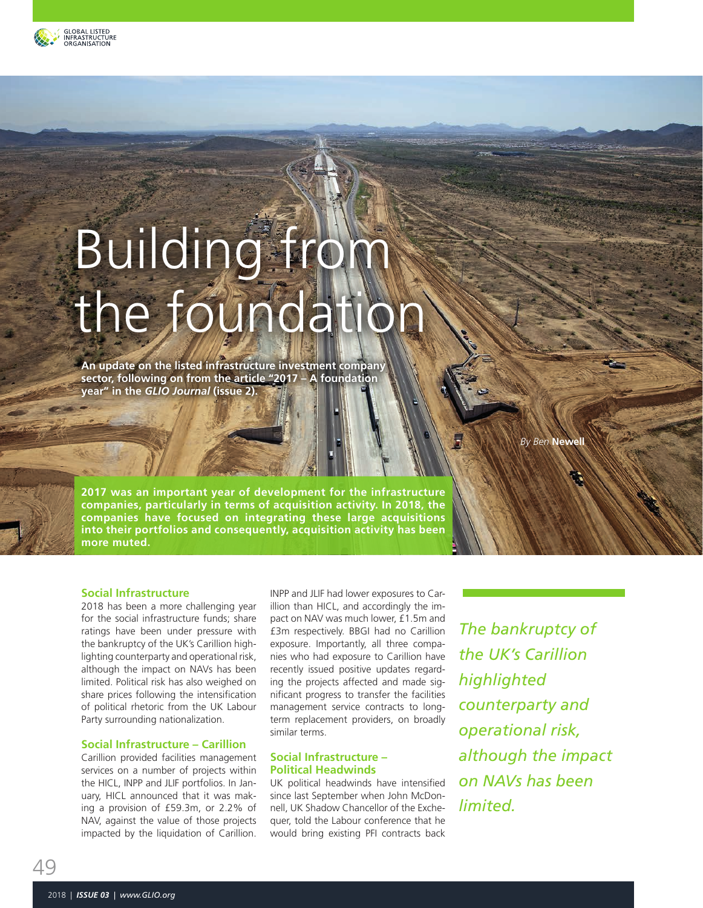

# Building from the foundation

**An update on the listed infrastructure investment company sector, following on from the article "2017 – A foundation year" in the** *GLIO Journal* **(issue 2).** 

**By Ben Newe** 

**2017 was an important year of development for the infrastructure companies, particularly in terms of acquisition activity. In 2018, the companies have focused on integrating these large acquisitions into their portfolios and consequently, acquisition activity has been more muted.**

### **Social Infrastructure**

2018 has been a more challenging year for the social infrastructure funds; share ratings have been under pressure with the bankruptcy of the UK's Carillion highlighting counterparty and operational risk, although the impact on NAVs has been limited. Political risk has also weighed on share prices following the intensification of political rhetoric from the UK Labour Party surrounding nationalization.

#### **Social Infrastructure – Carillion**

Carillion provided facilities management services on a number of projects within the HICL, INPP and JLIF portfolios. In January, HICL announced that it was making a provision of £59.3m, or 2.2% of NAV, against the value of those projects impacted by the liquidation of Carillion.

INPP and JLIF had lower exposures to Carillion than HICL, and accordingly the impact on NAV was much lower, £1.5m and £3m respectively. BBGI had no Carillion exposure. Importantly, all three companies who had exposure to Carillion have recently issued positive updates regarding the projects affected and made significant progress to transfer the facilities management service contracts to longterm replacement providers, on broadly similar terms.

#### **Social Infrastructure – Political Headwinds**

UK political headwinds have intensified since last September when John McDonnell, UK Shadow Chancellor of the Exchequer, told the Labour conference that he would bring existing PFI contracts back

*The bankruptcy of the UK's Carillion highlighted counterparty and operational risk, although the impact on NAVs has been limited.*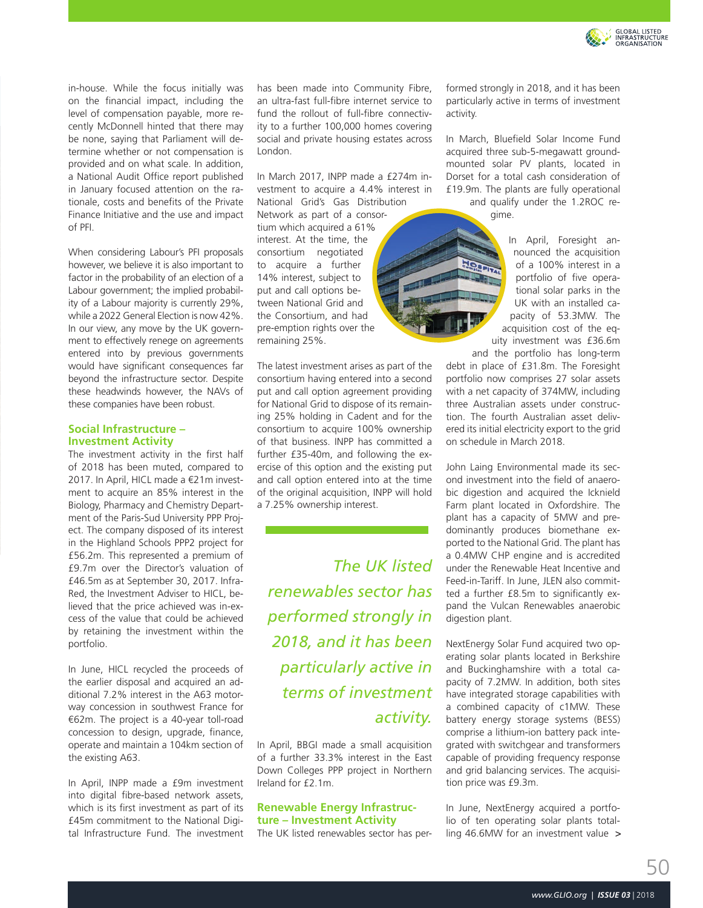

in-house. While the focus initially was on the financial impact, including the level of compensation payable, more recently McDonnell hinted that there may be none, saying that Parliament will determine whether or not compensation is provided and on what scale. In addition, a National Audit Office report published in January focused attention on the rationale, costs and benefits of the Private Finance Initiative and the use and impact of PFI.

When considering Labour's PFI proposals however, we believe it is also important to factor in the probability of an election of a Labour government; the implied probability of a Labour majority is currently 29%, while a 2022 General Election is now 42%. In our view, any move by the UK government to effectively renege on agreements entered into by previous governments would have significant consequences far beyond the infrastructure sector. Despite these headwinds however, the NAVs of these companies have been robust.

#### **Social Infrastructure – Investment Activity**

The investment activity in the first half of 2018 has been muted, compared to 2017. In April, HICL made a €21m investment to acquire an 85% interest in the Biology, Pharmacy and Chemistry Department of the Paris-Sud University PPP Project. The company disposed of its interest in the Highland Schools PPP2 project for £56.2m. This represented a premium of £9.7m over the Director's valuation of £46.5m as at September 30, 2017. Infra-Red, the Investment Adviser to HICL, believed that the price achieved was in-excess of the value that could be achieved by retaining the investment within the portfolio.

In June, HICL recycled the proceeds of the earlier disposal and acquired an additional 7.2% interest in the A63 motorway concession in southwest France for €62m. The project is a 40-year toll-road concession to design, upgrade, finance, operate and maintain a 104km section of the existing A63.

In April, INPP made a £9m investment into digital fibre-based network assets, which is its first investment as part of its £45m commitment to the National Digital Infrastructure Fund. The investment has been made into Community Fibre, an ultra-fast full-fibre internet service to fund the rollout of full-fibre connectivity to a further 100,000 homes covering social and private housing estates across London.

In March 2017, INPP made a £274m investment to acquire a 4.4% interest in

National Grid's Gas Distribution Network as part of a consortium which acquired a 61% interest. At the time, the consortium negotiated to acquire a further 14% interest, subject to put and call options between National Grid and the Consortium, and had pre-emption rights over the remaining 25%.

The latest investment arises as part of the consortium having entered into a second put and call option agreement providing for National Grid to dispose of its remaining 25% holding in Cadent and for the consortium to acquire 100% ownership of that business. INPP has committed a further £35-40m, and following the exercise of this option and the existing put and call option entered into at the time of the original acquisition, INPP will hold a 7.25% ownership interest.

*The UK listed renewables sector has performed strongly in 2018, and it has been particularly active in terms of investment activity.*

In April, BBGI made a small acquisition of a further 33.3% interest in the East Down Colleges PPP project in Northern Ireland for £2.1m.

## **Renewable Energy Infrastructure – Investment Activity**

The UK listed renewables sector has per-

formed strongly in 2018, and it has been particularly active in terms of investment activity.

In March, Bluefield Solar Income Fund acquired three sub-5-megawatt groundmounted solar PV plants, located in Dorset for a total cash consideration of £19.9m. The plants are fully operational and qualify under the 1.2ROC regime.

**RELET** 

In April, Foresight announced the acquisition of a 100% interest in a portfolio of five operational solar parks in the UK with an installed capacity of 53.3MW. The acquisition cost of the equity investment was £36.6m and the portfolio has long-term

debt in place of £31.8m. The Foresight portfolio now comprises 27 solar assets with a net capacity of 374MW, including three Australian assets under construction. The fourth Australian asset delivered its initial electricity export to the grid on schedule in March 2018.

John Laing Environmental made its second investment into the field of anaerobic digestion and acquired the Icknield Farm plant located in Oxfordshire. The plant has a capacity of 5MW and predominantly produces biomethane exported to the National Grid. The plant has a 0.4MW CHP engine and is accredited under the Renewable Heat Incentive and Feed-in-Tariff. In June, JLEN also committed a further £8.5m to significantly expand the Vulcan Renewables anaerobic digestion plant.

NextEnergy Solar Fund acquired two operating solar plants located in Berkshire and Buckinghamshire with a total capacity of 7.2MW. In addition, both sites have integrated storage capabilities with a combined capacity of c1MW. These battery energy storage systems (BESS) comprise a lithium-ion battery pack integrated with switchgear and transformers capable of providing frequency response and grid balancing services. The acquisition price was £9.3m.

In June, NextEnergy acquired a portfolio of ten operating solar plants totalling 46.6MW for an investment value >